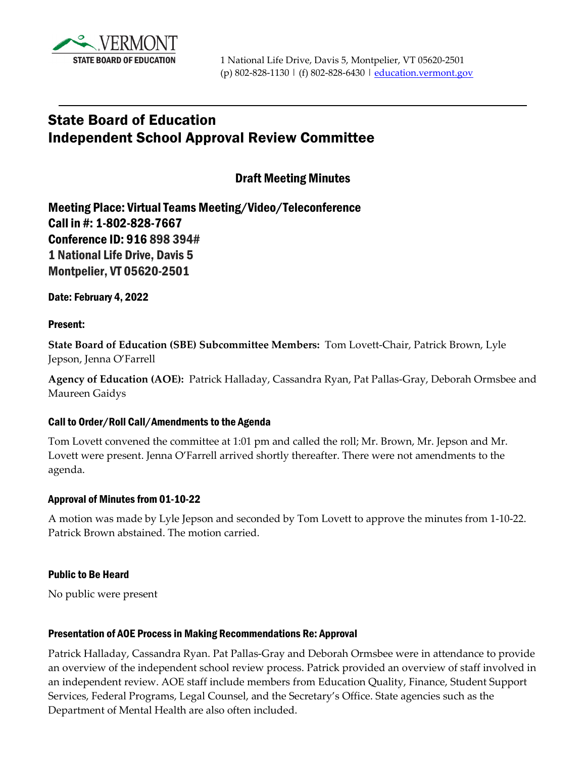

# State Board of Education Independent School Approval Review Committee

Draft Meeting Minutes

Meeting Place: Virtual Teams Meeting/Video/Teleconference Call in #: 1-802-828-7667 Conference ID: 916 898 394# 1 National Life Drive, Davis 5 Montpelier, VT 05620-2501

Date: February 4, 2022

## Present:

**State Board of Education (SBE) Subcommittee Members:** Tom Lovett-Chair, Patrick Brown, Lyle Jepson, Jenna O'Farrell

**Agency of Education (AOE):** Patrick Halladay, Cassandra Ryan, Pat Pallas-Gray, Deborah Ormsbee and Maureen Gaidys

## Call to Order/Roll Call/Amendments to the Agenda

Tom Lovett convened the committee at 1:01 pm and called the roll; Mr. Brown, Mr. Jepson and Mr. Lovett were present. Jenna O'Farrell arrived shortly thereafter. There were not amendments to the agenda.

## Approval of Minutes from 01-10-22

A motion was made by Lyle Jepson and seconded by Tom Lovett to approve the minutes from 1-10-22. Patrick Brown abstained. The motion carried.

# Public to Be Heard

No public were present

## Presentation of AOE Process in Making Recommendations Re: Approval

Patrick Halladay, Cassandra Ryan. Pat Pallas-Gray and Deborah Ormsbee were in attendance to provide an overview of the independent school review process. Patrick provided an overview of staff involved in an independent review. AOE staff include members from Education Quality, Finance, Student Support Services, Federal Programs, Legal Counsel, and the Secretary's Office. State agencies such as the Department of Mental Health are also often included.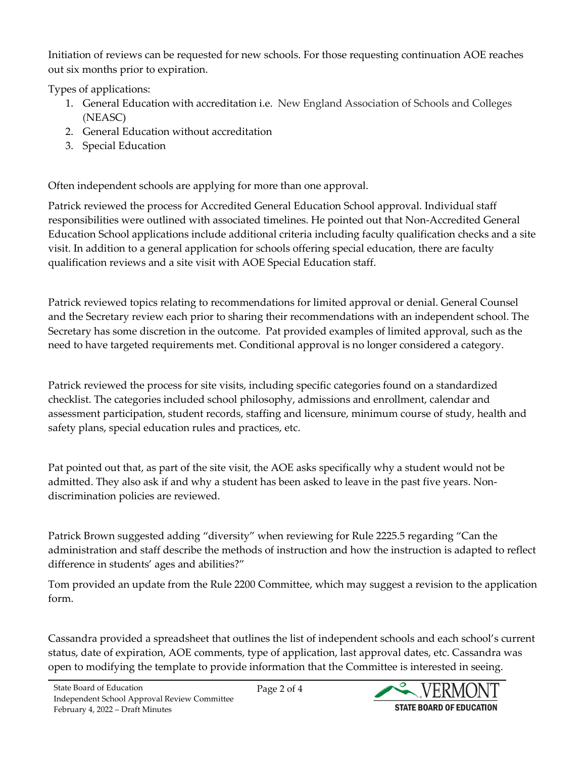Initiation of reviews can be requested for new schools. For those requesting continuation AOE reaches out six months prior to expiration.

Types of applications:

- 1. General Education with accreditation i.e. New England Association of Schools and Colleges (NEASC)
- 2. General Education without accreditation
- 3. Special Education

Often independent schools are applying for more than one approval.

Patrick reviewed the process for Accredited General Education School approval. Individual staff responsibilities were outlined with associated timelines. He pointed out that Non-Accredited General Education School applications include additional criteria including faculty qualification checks and a site visit. In addition to a general application for schools offering special education, there are faculty qualification reviews and a site visit with AOE Special Education staff.

Patrick reviewed topics relating to recommendations for limited approval or denial. General Counsel and the Secretary review each prior to sharing their recommendations with an independent school. The Secretary has some discretion in the outcome. Pat provided examples of limited approval, such as the need to have targeted requirements met. Conditional approval is no longer considered a category.

Patrick reviewed the process for site visits, including specific categories found on a standardized checklist. The categories included school philosophy, admissions and enrollment, calendar and assessment participation, student records, staffing and licensure, minimum course of study, health and safety plans, special education rules and practices, etc.

Pat pointed out that, as part of the site visit, the AOE asks specifically why a student would not be admitted. They also ask if and why a student has been asked to leave in the past five years. Nondiscrimination policies are reviewed.

Patrick Brown suggested adding "diversity" when reviewing for Rule 2225.5 regarding "Can the administration and staff describe the methods of instruction and how the instruction is adapted to reflect difference in students' ages and abilities?"

Tom provided an update from the Rule 2200 Committee, which may suggest a revision to the application form.

Cassandra provided a spreadsheet that outlines the list of independent schools and each school's current status, date of expiration, AOE comments, type of application, last approval dates, etc. Cassandra was open to modifying the template to provide information that the Committee is interested in seeing.

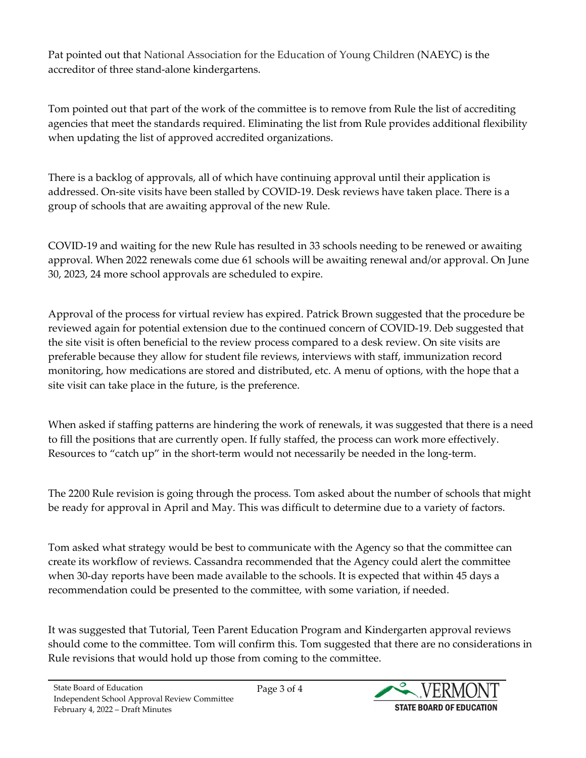Pat pointed out that National Association for the Education of Young Children (NAEYC) is the accreditor of three stand-alone kindergartens.

Tom pointed out that part of the work of the committee is to remove from Rule the list of accrediting agencies that meet the standards required. Eliminating the list from Rule provides additional flexibility when updating the list of approved accredited organizations.

There is a backlog of approvals, all of which have continuing approval until their application is addressed. On-site visits have been stalled by COVID-19. Desk reviews have taken place. There is a group of schools that are awaiting approval of the new Rule.

COVID-19 and waiting for the new Rule has resulted in 33 schools needing to be renewed or awaiting approval. When 2022 renewals come due 61 schools will be awaiting renewal and/or approval. On June 30, 2023, 24 more school approvals are scheduled to expire.

Approval of the process for virtual review has expired. Patrick Brown suggested that the procedure be reviewed again for potential extension due to the continued concern of COVID-19. Deb suggested that the site visit is often beneficial to the review process compared to a desk review. On site visits are preferable because they allow for student file reviews, interviews with staff, immunization record monitoring, how medications are stored and distributed, etc. A menu of options, with the hope that a site visit can take place in the future, is the preference.

When asked if staffing patterns are hindering the work of renewals, it was suggested that there is a need to fill the positions that are currently open. If fully staffed, the process can work more effectively. Resources to "catch up" in the short-term would not necessarily be needed in the long-term.

The 2200 Rule revision is going through the process. Tom asked about the number of schools that might be ready for approval in April and May. This was difficult to determine due to a variety of factors.

Tom asked what strategy would be best to communicate with the Agency so that the committee can create its workflow of reviews. Cassandra recommended that the Agency could alert the committee when 30-day reports have been made available to the schools. It is expected that within 45 days a recommendation could be presented to the committee, with some variation, if needed.

It was suggested that Tutorial, Teen Parent Education Program and Kindergarten approval reviews should come to the committee. Tom will confirm this. Tom suggested that there are no considerations in Rule revisions that would hold up those from coming to the committee.